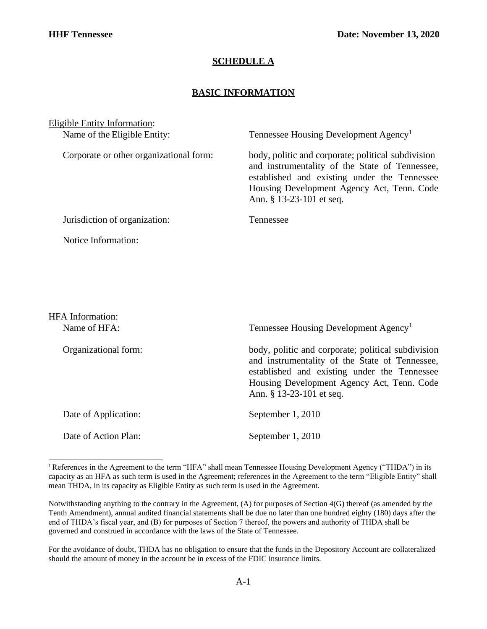## **SCHEDULE A**

## **BASIC INFORMATION**

Eligible Entity Information:

Name of the Eligible Entity: Tennessee Housing Development Agency<sup>1</sup>

Corporate or other organizational form: body, politic and corporate; political subdivision and instrumentality of the State of Tennessee, established and existing under the Tennessee Housing Development Agency Act, Tenn. Code Ann. § 13-23-101 et seq.

Jurisdiction of organization: Tennessee

Notice Information:

HFA Information: Name of HFA: Tennessee Housing Development Agency<sup>1</sup> Organizational form: body, politic and corporate; political subdivision and instrumentality of the State of Tennessee, established and existing under the Tennessee Housing Development Agency Act, Tenn. Code Ann. § 13-23-101 et seq. Date of Application: September 1, 2010 Date of Action Plan: September 1, 2010

For the avoidance of doubt, THDA has no obligation to ensure that the funds in the Depository Account are collateralized should the amount of money in the account be in excess of the FDIC insurance limits.

<sup>&</sup>lt;sup>1</sup> References in the Agreement to the term "HFA" shall mean Tennessee Housing Development Agency ("THDA") in its capacity as an HFA as such term is used in the Agreement; references in the Agreement to the term "Eligible Entity" shall mean THDA, in its capacity as Eligible Entity as such term is used in the Agreement.

Notwithstanding anything to the contrary in the Agreement, (A) for purposes of Section 4(G) thereof (as amended by the Tenth Amendment), annual audited financial statements shall be due no later than one hundred eighty (180) days after the end of THDA's fiscal year, and (B) for purposes of Section 7 thereof, the powers and authority of THDA shall be governed and construed in accordance with the laws of the State of Tennessee.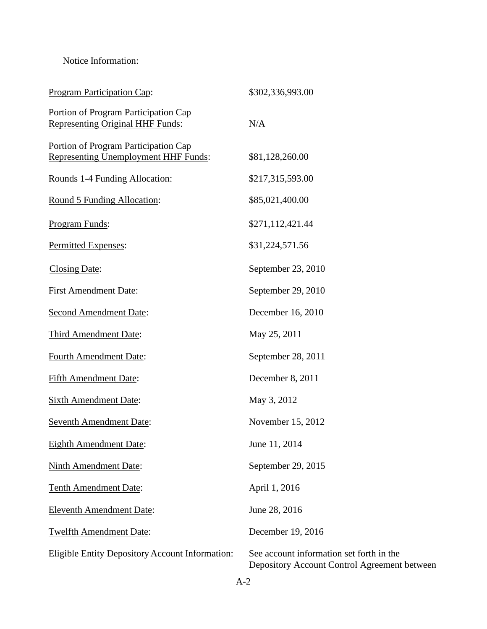## Notice Information:

| <b>Program Participation Cap:</b>                                                   | \$302,336,993.00                                                                         |
|-------------------------------------------------------------------------------------|------------------------------------------------------------------------------------------|
| Portion of Program Participation Cap<br><b>Representing Original HHF Funds:</b>     | N/A                                                                                      |
| Portion of Program Participation Cap<br><b>Representing Unemployment HHF Funds:</b> | \$81,128,260.00                                                                          |
| Rounds 1-4 Funding Allocation:                                                      | \$217,315,593.00                                                                         |
| Round 5 Funding Allocation:                                                         | \$85,021,400.00                                                                          |
| Program Funds:                                                                      | \$271,112,421.44                                                                         |
| Permitted Expenses:                                                                 | \$31,224,571.56                                                                          |
| <b>Closing Date:</b>                                                                | September 23, 2010                                                                       |
| <b>First Amendment Date:</b>                                                        | September 29, 2010                                                                       |
| <b>Second Amendment Date:</b>                                                       | December 16, 2010                                                                        |
| Third Amendment Date:                                                               | May 25, 2011                                                                             |
| <b>Fourth Amendment Date:</b>                                                       | September 28, 2011                                                                       |
| <b>Fifth Amendment Date:</b>                                                        | December 8, 2011                                                                         |
| <b>Sixth Amendment Date:</b>                                                        | May 3, 2012                                                                              |
| <b>Seventh Amendment Date:</b>                                                      | November 15, 2012                                                                        |
| <b>Eighth Amendment Date:</b>                                                       | June 11, 2014                                                                            |
| <b>Ninth Amendment Date:</b>                                                        | September 29, 2015                                                                       |
| <b>Tenth Amendment Date:</b>                                                        | April 1, 2016                                                                            |
| <b>Eleventh Amendment Date:</b>                                                     | June 28, 2016                                                                            |
| <b>Twelfth Amendment Date:</b>                                                      | December 19, 2016                                                                        |
| Eligible Entity Depository Account Information:                                     | See account information set forth in the<br>Depository Account Control Agreement between |